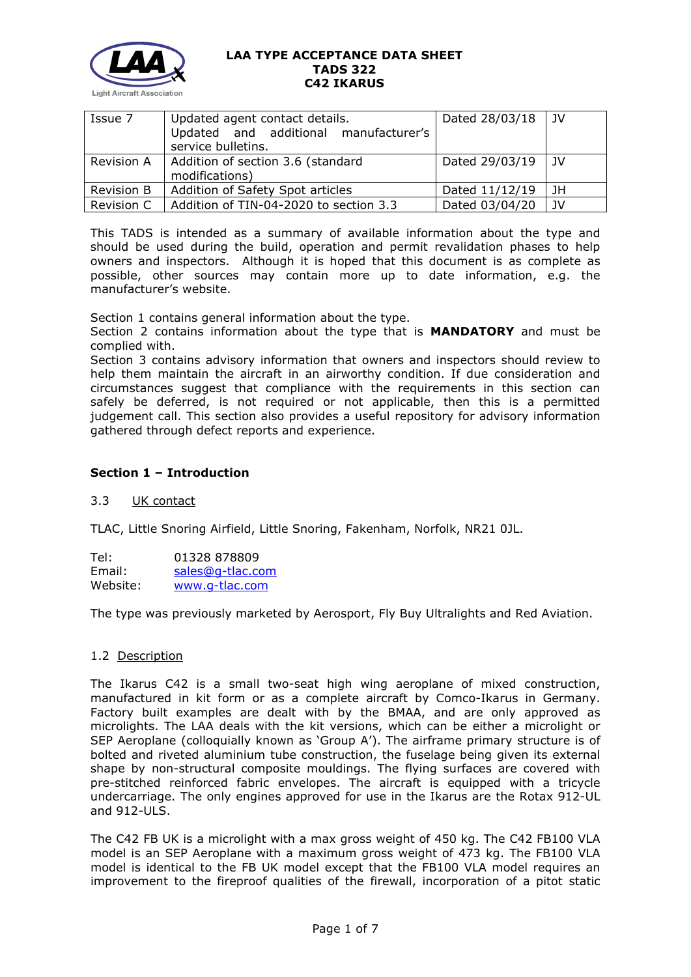

| Issue 7           | Updated agent contact details.<br>Updated and additional manufacturer's<br>service bulletins. | Dated 28/03/18 | JV |
|-------------------|-----------------------------------------------------------------------------------------------|----------------|----|
| Revision A        | Addition of section 3.6 (standard<br>modifications)                                           | Dated 29/03/19 | JV |
| <b>Revision B</b> | Addition of Safety Spot articles                                                              | Dated 11/12/19 | JH |
| Revision C        | Addition of TIN-04-2020 to section 3.3                                                        | Dated 03/04/20 | JV |

This TADS is intended as a summary of available information about the type and should be used during the build, operation and permit revalidation phases to help owners and inspectors. Although it is hoped that this document is as complete as possible, other sources may contain more up to date information, e.g. the manufacturer's website.

Section 1 contains general information about the type.

Section 2 contains information about the type that is **MANDATORY** and must be complied with.

Section 3 contains advisory information that owners and inspectors should review to help them maintain the aircraft in an airworthy condition. If due consideration and circumstances suggest that compliance with the requirements in this section can safely be deferred, is not required or not applicable, then this is a permitted judgement call. This section also provides a useful repository for advisory information gathered through defect reports and experience.

# **Section 1 – Introduction**

## 3.3 UK contact

TLAC, Little Snoring Airfield, Little Snoring, Fakenham, Norfolk, NR21 0JL.

Tel: 01328 878809 Email: [sales@g-tlac.com](mailto:sales@g-tlac.com) Website: [www.g-tlac.com](http://www.g-tlac.com/)

The type was previously marketed by Aerosport, Fly Buy Ultralights and Red Aviation.

## 1.2 Description

The Ikarus C42 is a small two-seat high wing aeroplane of mixed construction, manufactured in kit form or as a complete aircraft by Comco-Ikarus in Germany. Factory built examples are dealt with by the BMAA, and are only approved as microlights. The LAA deals with the kit versions, which can be either a microlight or SEP Aeroplane (colloquially known as 'Group A'). The airframe primary structure is of bolted and riveted aluminium tube construction, the fuselage being given its external shape by non-structural composite mouldings. The flying surfaces are covered with pre-stitched reinforced fabric envelopes. The aircraft is equipped with a tricycle undercarriage. The only engines approved for use in the Ikarus are the Rotax 912-UL and 912-ULS.

The C42 FB UK is a microlight with a max gross weight of 450 kg. The C42 FB100 VLA model is an SEP Aeroplane with a maximum gross weight of 473 kg. The FB100 VLA model is identical to the FB UK model except that the FB100 VLA model requires an improvement to the fireproof qualities of the firewall, incorporation of a pitot static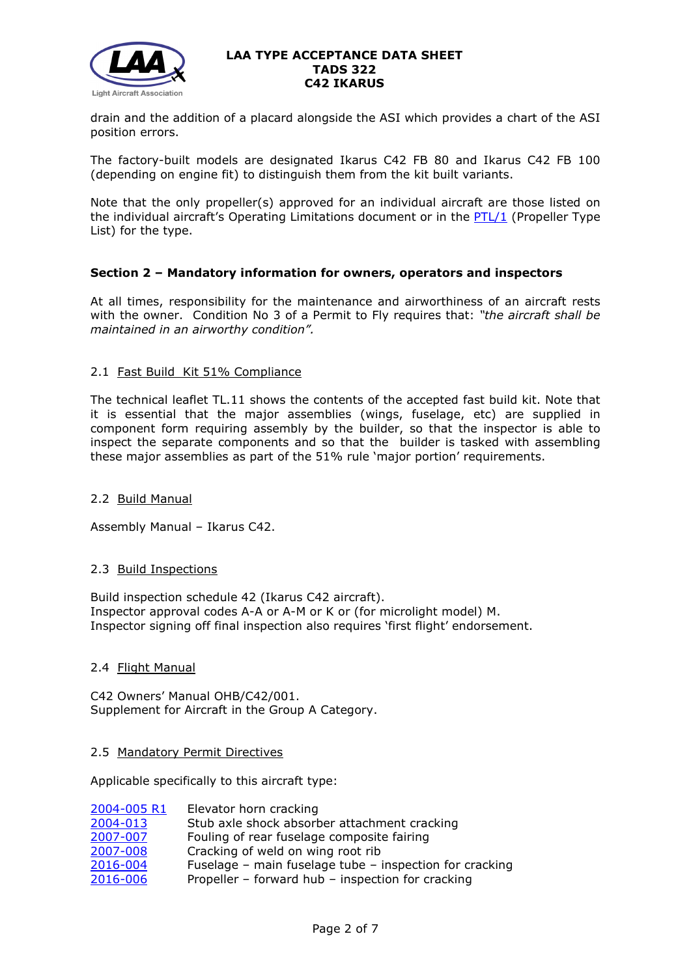

drain and the addition of a placard alongside the ASI which provides a chart of the ASI position errors.

The factory-built models are designated Ikarus C42 FB 80 and Ikarus C42 FB 100 (depending on engine fit) to distinguish them from the kit built variants.

Note that the only propeller(s) approved for an individual aircraft are those listed on the individual aircraft's Operating Limitations document or in the  $PTL/1$  (Propeller Type List) for the type.

# **Section 2 – Mandatory information for owners, operators and inspectors**

At all times, responsibility for the maintenance and airworthiness of an aircraft rests with the owner. Condition No 3 of a Permit to Fly requires that: *"the aircraft shall be maintained in an airworthy condition".* 

## 2.1 Fast Build Kit 51% Compliance

The technical leaflet TL.11 shows the contents of the accepted fast build kit. Note that it is essential that the major assemblies (wings, fuselage, etc) are supplied in component form requiring assembly by the builder, so that the inspector is able to inspect the separate components and so that the builder is tasked with assembling these major assemblies as part of the 51% rule 'major portion' requirements.

## 2.2 Build Manual

Assembly Manual – Ikarus C42.

## 2.3 Build Inspections

Build inspection schedule 42 (Ikarus C42 aircraft). Inspector approval codes A-A or A-M or K or (for microlight model) M. Inspector signing off final inspection also requires 'first flight' endorsement.

## 2.4 Flight Manual

C42 Owners' Manual OHB/C42/001. Supplement for Aircraft in the Group A Category.

## 2.5 Mandatory Permit Directives

Applicable specifically to this aircraft type:

| 2004-005 R1 | Elevator horn cracking                                  |
|-------------|---------------------------------------------------------|
| 2004-013    | Stub axle shock absorber attachment cracking            |
| 2007-007    | Fouling of rear fuselage composite fairing              |
| 2007-008    | Cracking of weld on wing root rib                       |
| 2016-004    | Fuselage - main fuselage tube - inspection for cracking |
| 2016-006    | Propeller - forward hub - inspection for cracking       |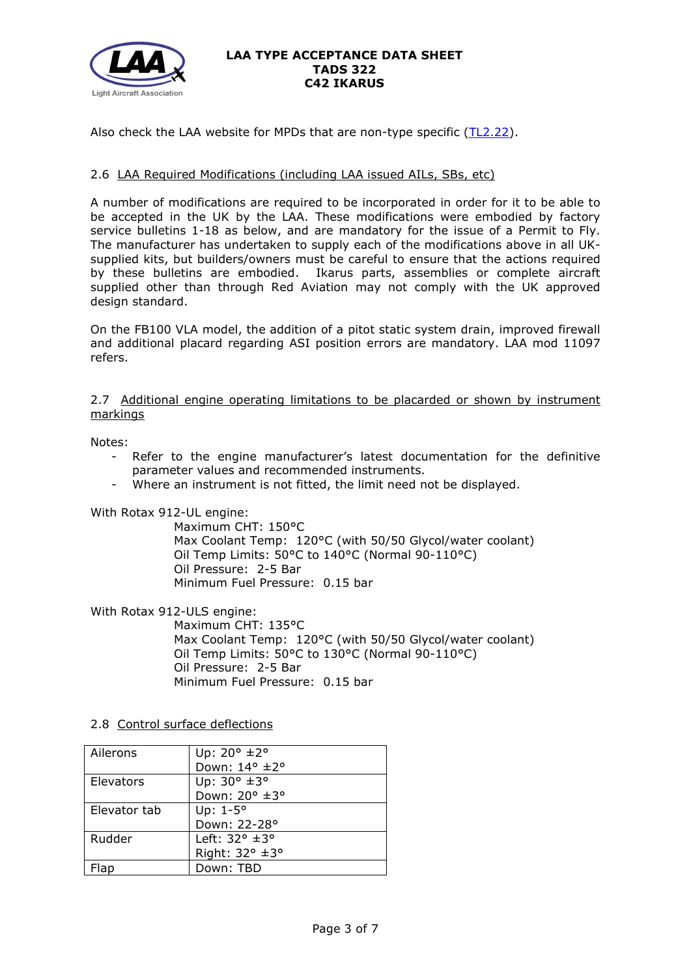

Also check the LAA website for MPDs that are non-type specific  $(TL2.22)$ .

# 2.6 LAA Required Modifications (including LAA issued AILs, SBs, etc)

A number of modifications are required to be incorporated in order for it to be able to be accepted in the UK by the LAA. These modifications were embodied by factory service bulletins 1-18 as below, and are mandatory for the issue of a Permit to Fly. The manufacturer has undertaken to supply each of the modifications above in all UKsupplied kits, but builders/owners must be careful to ensure that the actions required by these bulletins are embodied. Ikarus parts, assemblies or complete aircraft supplied other than through Red Aviation may not comply with the UK approved design standard.

On the FB100 VLA model, the addition of a pitot static system drain, improved firewall and additional placard regarding ASI position errors are mandatory. LAA mod 11097 refers.

2.7 Additional engine operating limitations to be placarded or shown by instrument markings

Notes:

- Refer to the engine manufacturer's latest documentation for the definitive parameter values and recommended instruments.
- Where an instrument is not fitted, the limit need not be displayed.

With Rotax 912-UL engine:

Maximum CHT: 150°C Max Coolant Temp: 120°C (with 50/50 Glycol/water coolant) Oil Temp Limits: 50°C to 140°C (Normal 90-110°C) Oil Pressure: 2-5 Bar Minimum Fuel Pressure: 0.15 bar

With Rotax 912-ULS engine:

Maximum CHT: 135°C Max Coolant Temp: 120°C (with 50/50 Glycol/water coolant) Oil Temp Limits: 50°C to 130°C (Normal 90-110°C) Oil Pressure: 2-5 Bar Minimum Fuel Pressure: 0.15 bar

# 2.8 Control surface deflections

| Ailerons     | Up: $20^{\circ}$ ±2°         |
|--------------|------------------------------|
|              | Down: 14° ±2°                |
| Elevators    | Up: 30° ±3°                  |
|              | Down: 20° ±3°                |
| Elevator tab | Up: $1-5^\circ$              |
|              | Down: 22-28°                 |
| Rudder       | Left: $32^\circ \pm 3^\circ$ |
|              | Right: 32° ±3°               |
|              | Down: TBD                    |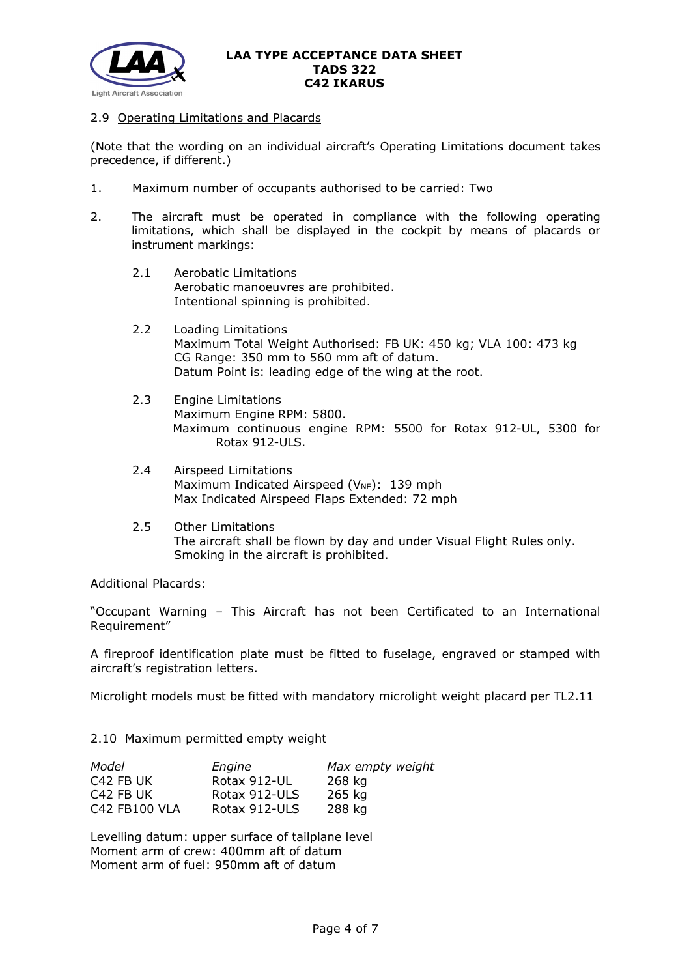

## 2.9 Operating Limitations and Placards

(Note that the wording on an individual aircraft's Operating Limitations document takes precedence, if different.)

- 1. Maximum number of occupants authorised to be carried: Two
- 2. The aircraft must be operated in compliance with the following operating limitations, which shall be displayed in the cockpit by means of placards or instrument markings:
	- 2.1 Aerobatic Limitations Aerobatic manoeuvres are prohibited. Intentional spinning is prohibited.
	- 2.2 Loading Limitations Maximum Total Weight Authorised: FB UK: 450 kg; VLA 100: 473 kg CG Range: 350 mm to 560 mm aft of datum. Datum Point is: leading edge of the wing at the root.
	- 2.3 Engine Limitations Maximum Engine RPM: 5800. Maximum continuous engine RPM: 5500 for Rotax 912-UL, 5300 for Rotax 912-ULS.
	- 2.4 Airspeed Limitations Maximum Indicated Airspeed ( $V_{NE}$ ): 139 mph Max Indicated Airspeed Flaps Extended: 72 mph
	- 2.5 Other Limitations The aircraft shall be flown by day and under Visual Flight Rules only. Smoking in the aircraft is prohibited.

Additional Placards:

"Occupant Warning – This Aircraft has not been Certificated to an International Requirement"

A fireproof identification plate must be fitted to fuselage, engraved or stamped with aircraft's registration letters.

Microlight models must be fitted with mandatory microlight weight placard per TL2.11

## 2.10 Maximum permitted empty weight

| Model                 | Engine        | Max empty weight |
|-----------------------|---------------|------------------|
| C <sub>42</sub> FB UK | Rotax 912-UL  | 268 kg           |
| C <sub>42</sub> FB UK | Rotax 912-ULS | 265 kg           |
| C42 FB100 VLA         | Rotax 912-ULS | 288 kg           |

Levelling datum: upper surface of tailplane level Moment arm of crew: 400mm aft of datum Moment arm of fuel: 950mm aft of datum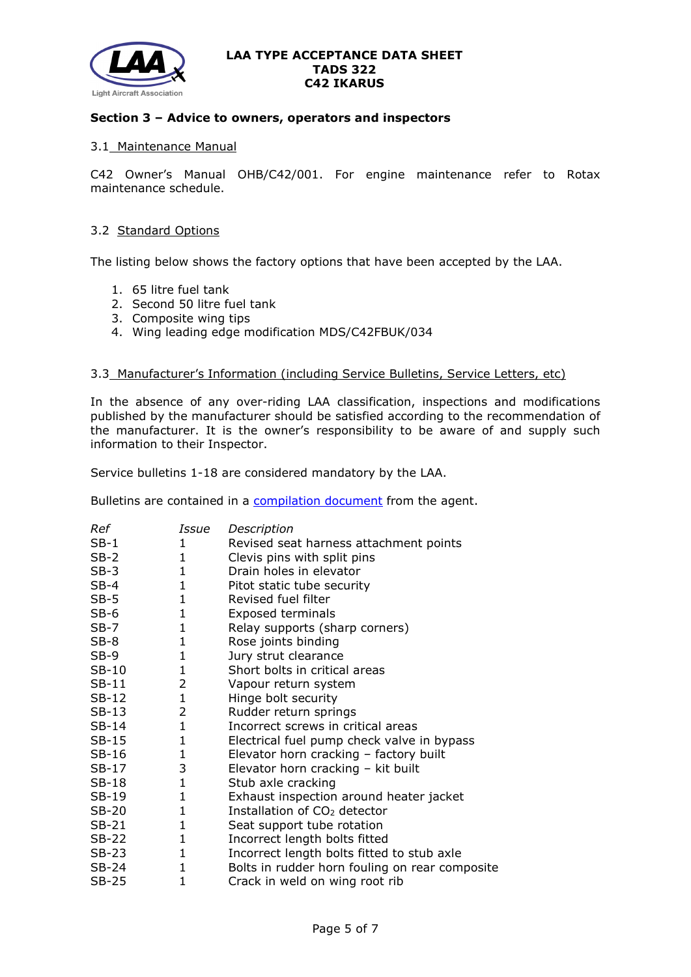

### **Section 3 – Advice to owners, operators and inspectors**

#### 3.1 Maintenance Manual

C42 Owner's Manual OHB/C42/001. For engine maintenance refer to Rotax maintenance schedule.

## 3.2 Standard Options

The listing below shows the factory options that have been accepted by the LAA.

- 1. 65 litre fuel tank
- 2. Second 50 litre fuel tank
- 3. Composite wing tips
- 4. Wing leading edge modification MDS/C42FBUK/034

#### 3.3 Manufacturer's Information (including Service Bulletins, Service Letters, etc)

In the absence of any over-riding LAA classification, inspections and modifications published by the manufacturer should be satisfied according to the recommendation of the manufacturer. It is the owner's responsibility to be aware of and supply such information to their Inspector.

Service bulletins 1-18 are considered mandatory by the LAA.

Bulletins are contained in a **compilation document** from the agent.

| Ref     | Issue        | Description                                    |
|---------|--------------|------------------------------------------------|
| $SB-1$  | $\mathbf{1}$ | Revised seat harness attachment points         |
| $SB-2$  | 1            | Clevis pins with split pins                    |
| $SB-3$  | $\mathbf 1$  | Drain holes in elevator                        |
| $SB-4$  | $\mathbf 1$  | Pitot static tube security                     |
| $SB-5$  | 1            | Revised fuel filter                            |
| $SB-6$  | $\mathbf{1}$ | <b>Exposed terminals</b>                       |
| SB-7    | 1            | Relay supports (sharp corners)                 |
| $SB-8$  | $\mathbf{1}$ | Rose joints binding                            |
| $SB-9$  | 1            | Jury strut clearance                           |
| SB-10   | 1            | Short bolts in critical areas                  |
| $SB-11$ | 2            | Vapour return system                           |
| $SB-12$ | 1            | Hinge bolt security                            |
| $SB-13$ | 2            | Rudder return springs                          |
| $SB-14$ | $\mathbf{1}$ | Incorrect screws in critical areas             |
| $SB-15$ | 1            | Electrical fuel pump check valve in bypass     |
| SB-16   | $\mathbf{1}$ | Elevator horn cracking - factory built         |
| $SB-17$ | 3            | Elevator horn cracking - kit built             |
| $SB-18$ | $\mathbf{1}$ | Stub axle cracking                             |
| $SB-19$ | 1            | Exhaust inspection around heater jacket        |
| $SB-20$ | 1            | Installation of CO <sub>2</sub> detector       |
| $SB-21$ | 1            | Seat support tube rotation                     |
| $SB-22$ | 1            | Incorrect length bolts fitted                  |
| $SB-23$ | 1            | Incorrect length bolts fitted to stub axle     |
| SB-24   | 1            | Bolts in rudder horn fouling on rear composite |
| SB-25   | 1            | Crack in weld on wing root rib                 |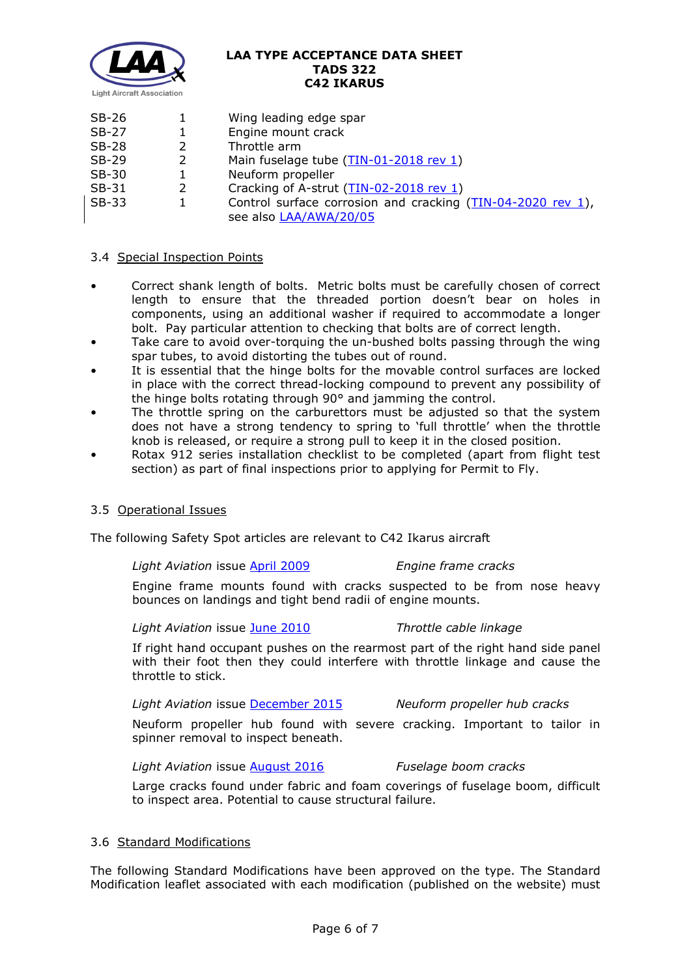

| SB-26   |   | Wing leading edge spar                                        |
|---------|---|---------------------------------------------------------------|
| SB-27   |   | Engine mount crack                                            |
| $SB-28$ | 2 | Throttle arm                                                  |
| $SB-29$ | 2 | Main fuselage tube (TIN-01-2018 rev 1)                        |
| SB-30   |   | Neuform propeller                                             |
| $SB-31$ | 2 | Cracking of A-strut (TIN-02-2018 rev 1)                       |
| $SB-33$ |   | Control surface corrosion and cracking $(TIN-04-2020$ rev 1), |
|         |   | see also LAA/AWA/20/05                                        |

## 3.4 Special Inspection Points

- Correct shank length of bolts. Metric bolts must be carefully chosen of correct length to ensure that the threaded portion doesn't bear on holes in components, using an additional washer if required to accommodate a longer bolt. Pay particular attention to checking that bolts are of correct length.
- Take care to avoid over-torquing the un-bushed bolts passing through the wing spar tubes, to avoid distorting the tubes out of round.
- It is essential that the hinge bolts for the movable control surfaces are locked in place with the correct thread-locking compound to prevent any possibility of the hinge bolts rotating through 90° and jamming the control.
- The throttle spring on the carburettors must be adjusted so that the system does not have a strong tendency to spring to 'full throttle' when the throttle knob is released, or require a strong pull to keep it in the closed position.
- Rotax 912 series installation checklist to be completed (apart from flight test section) as part of final inspections prior to applying for Permit to Fly.

## 3.5 Operational Issues

The following Safety Spot articles are relevant to C42 Ikarus aircraft

*Light Aviation* issue [April 2009](http://www.lightaircraftassociation.co.uk/Magazine/Apr%2009/safety_spot.pdf) *Engine frame cracks*

Engine frame mounts found with cracks suspected to be from nose heavy bounces on landings and tight bend radii of engine mounts.

*Light Aviation* issue [June 2010](http://www.lightaircraftassociation.co.uk/2010/Magazine/2010/June/SafetySpot_Jun.pdf) *Throttle cable linkage*

If right hand occupant pushes on the rearmost part of the right hand side panel with their foot then they could interfere with throttle linkage and cause the throttle to stick.

*Light Aviation* issue [December 2015](http://www.lightaircraftassociation.co.uk/2015/Magazine/Dec/safety_spot_dec.pdf) *Neuform propeller hub cracks*

Neuform propeller hub found with severe cracking. Important to tailor in spinner removal to inspect beneath.

## *Light Aviation* issue [August 2016](http://www.lightaircraftassociation.co.uk/2016/Magazine/August/safety_spot.pdf) *Fuselage boom cracks*

Large cracks found under fabric and foam coverings of fuselage boom, difficult to inspect area. Potential to cause structural failure.

## 3.6 Standard Modifications

The following Standard Modifications have been approved on the type. The Standard Modification leaflet associated with each modification (published on the website) must